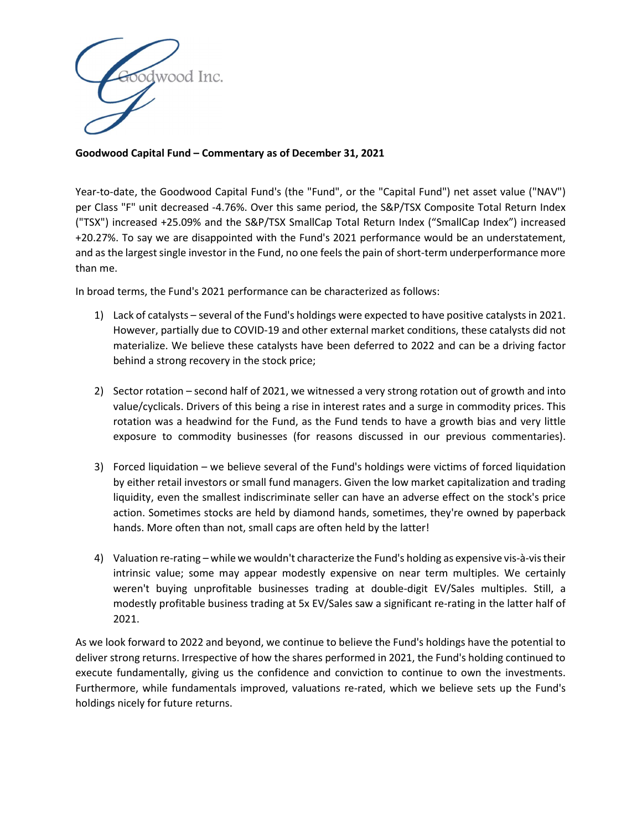

## Goodwood Capital Fund – Commentary as of December 31, 2021

Year-to-date, the Goodwood Capital Fund's (the "Fund", or the "Capital Fund") net asset value ("NAV") per Class "F" unit decreased -4.76%. Over this same period, the S&P/TSX Composite Total Return Index ("TSX") increased +25.09% and the S&P/TSX SmallCap Total Return Index ("SmallCap Index") increased +20.27%. To say we are disappointed with the Fund's 2021 performance would be an understatement, and as the largest single investor in the Fund, no one feels the pain of short-term underperformance more than me.

In broad terms, the Fund's 2021 performance can be characterized as follows:

- 1) Lack of catalysts several of the Fund's holdings were expected to have positive catalysts in 2021. However, partially due to COVID-19 and other external market conditions, these catalysts did not materialize. We believe these catalysts have been deferred to 2022 and can be a driving factor behind a strong recovery in the stock price;
- 2) Sector rotation second half of 2021, we witnessed a very strong rotation out of growth and into value/cyclicals. Drivers of this being a rise in interest rates and a surge in commodity prices. This rotation was a headwind for the Fund, as the Fund tends to have a growth bias and very little exposure to commodity businesses (for reasons discussed in our previous commentaries).
- 3) Forced liquidation we believe several of the Fund's holdings were victims of forced liquidation by either retail investors or small fund managers. Given the low market capitalization and trading liquidity, even the smallest indiscriminate seller can have an adverse effect on the stock's price action. Sometimes stocks are held by diamond hands, sometimes, they're owned by paperback hands. More often than not, small caps are often held by the latter!
- 4) Valuation re-rating while we wouldn't characterize the Fund's holding as expensive vis-à-vis their intrinsic value; some may appear modestly expensive on near term multiples. We certainly weren't buying unprofitable businesses trading at double-digit EV/Sales multiples. Still, a modestly profitable business trading at 5x EV/Sales saw a significant re-rating in the latter half of 2021.

As we look forward to 2022 and beyond, we continue to believe the Fund's holdings have the potential to deliver strong returns. Irrespective of how the shares performed in 2021, the Fund's holding continued to execute fundamentally, giving us the confidence and conviction to continue to own the investments. Furthermore, while fundamentals improved, valuations re-rated, which we believe sets up the Fund's holdings nicely for future returns.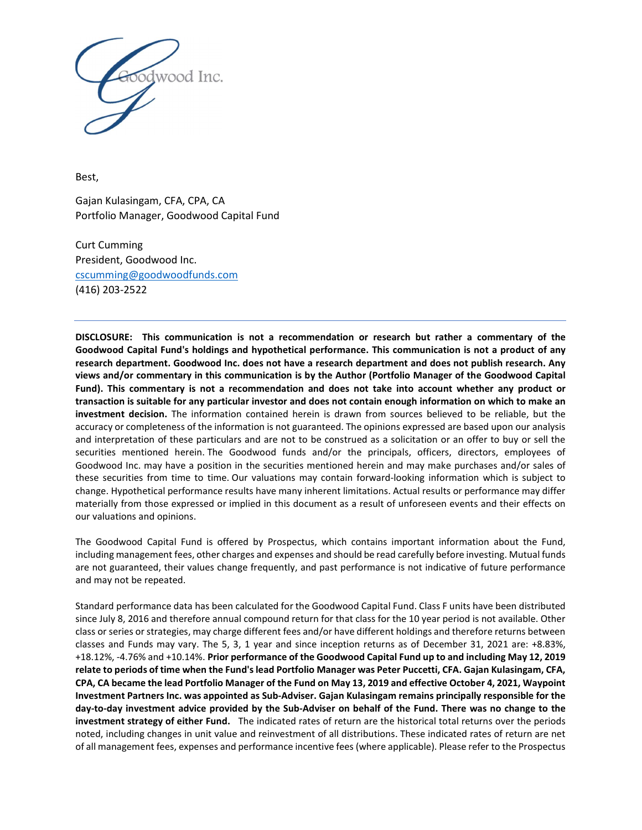

Best,

Gajan Kulasingam, CFA, CPA, CA Portfolio Manager, Goodwood Capital Fund

Curt Cumming President, Goodwood Inc. cscumming@goodwoodfunds.com (416) 203-2522

DISCLOSURE: This communication is not a recommendation or research but rather a commentary of the Goodwood Capital Fund's holdings and hypothetical performance. This communication is not a product of any research department. Goodwood Inc. does not have a research department and does not publish research. Any views and/or commentary in this communication is by the Author (Portfolio Manager of the Goodwood Capital Fund). This commentary is not a recommendation and does not take into account whether any product or transaction is suitable for any particular investor and does not contain enough information on which to make an investment decision. The information contained herein is drawn from sources believed to be reliable, but the accuracy or completeness of the information is not guaranteed. The opinions expressed are based upon our analysis and interpretation of these particulars and are not to be construed as a solicitation or an offer to buy or sell the securities mentioned herein. The Goodwood funds and/or the principals, officers, directors, employees of Goodwood Inc. may have a position in the securities mentioned herein and may make purchases and/or sales of these securities from time to time. Our valuations may contain forward-looking information which is subject to change. Hypothetical performance results have many inherent limitations. Actual results or performance may differ materially from those expressed or implied in this document as a result of unforeseen events and their effects on our valuations and opinions.

The Goodwood Capital Fund is offered by Prospectus, which contains important information about the Fund, including management fees, other charges and expenses and should be read carefully before investing. Mutual funds are not guaranteed, their values change frequently, and past performance is not indicative of future performance and may not be repeated.

Standard performance data has been calculated for the Goodwood Capital Fund. Class F units have been distributed since July 8, 2016 and therefore annual compound return for that class for the 10 year period is not available. Other class or series or strategies, may charge different fees and/or have different holdings and therefore returns between classes and Funds may vary. The 5, 3, 1 year and since inception returns as of December 31, 2021 are: +8.83%, +18.12%, -4.76% and +10.14%. Prior performance of the Goodwood Capital Fund up to and including May 12, 2019 relate to periods of time when the Fund's lead Portfolio Manager was Peter Puccetti, CFA. Gajan Kulasingam, CFA, CPA, CA became the lead Portfolio Manager of the Fund on May 13, 2019 and effective October 4, 2021, Waypoint Investment Partners Inc. was appointed as Sub-Adviser. Gajan Kulasingam remains principally responsible for the day-to-day investment advice provided by the Sub-Adviser on behalf of the Fund. There was no change to the investment strategy of either Fund. The indicated rates of return are the historical total returns over the periods noted, including changes in unit value and reinvestment of all distributions. These indicated rates of return are net of all management fees, expenses and performance incentive fees (where applicable). Please refer to the Prospectus